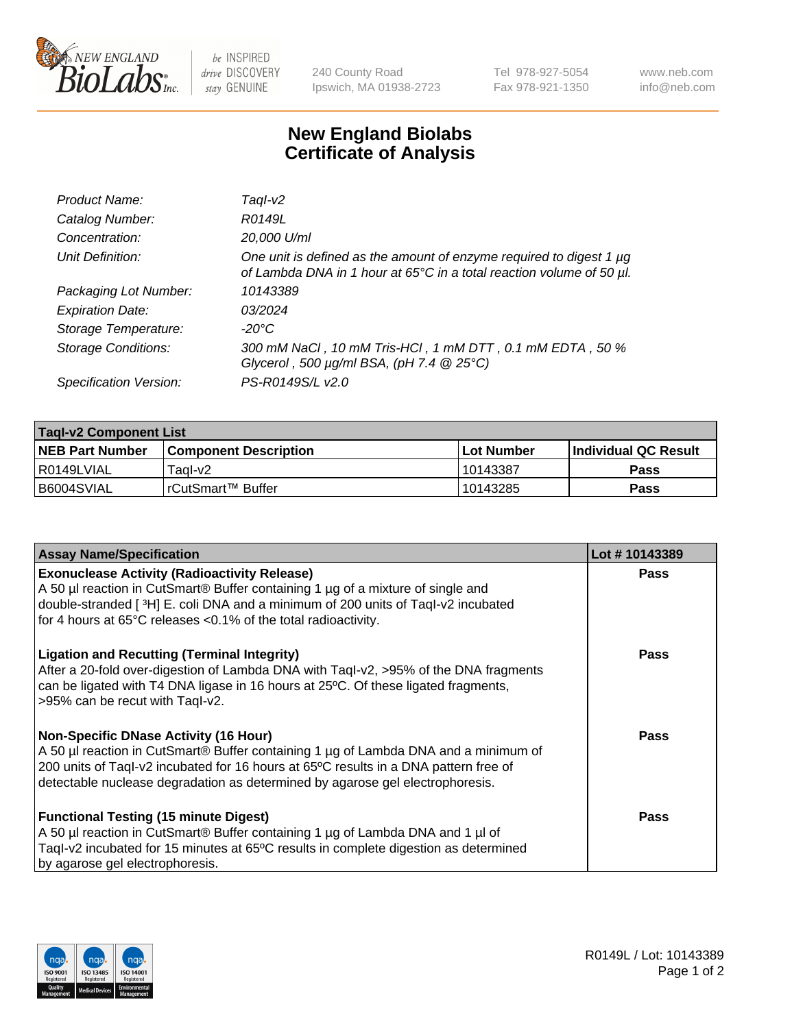

be INSPIRED drive DISCOVERY stay GENUINE

240 County Road Ipswich, MA 01938-2723 Tel 978-927-5054 Fax 978-921-1350 www.neb.com info@neb.com

## **New England Biolabs Certificate of Analysis**

| Product Name:              | Tagl-v2                                                                                                                                     |
|----------------------------|---------------------------------------------------------------------------------------------------------------------------------------------|
| Catalog Number:            | R0149L                                                                                                                                      |
| Concentration:             | 20,000 U/ml                                                                                                                                 |
| Unit Definition:           | One unit is defined as the amount of enzyme required to digest 1 µg<br>of Lambda DNA in 1 hour at 65°C in a total reaction volume of 50 µl. |
| Packaging Lot Number:      | 10143389                                                                                                                                    |
| <b>Expiration Date:</b>    | 03/2024                                                                                                                                     |
| Storage Temperature:       | $-20^{\circ}$ C                                                                                                                             |
| <b>Storage Conditions:</b> | 300 mM NaCl, 10 mM Tris-HCl, 1 mM DTT, 0.1 mM EDTA, 50 %<br>Glycerol, 500 $\mu$ g/ml BSA, (pH 7.4 $@$ 25°C)                                 |
| Specification Version:     | PS-R0149S/L v2.0                                                                                                                            |

| <b>Tagl-v2 Component List</b> |                              |            |                             |  |  |
|-------------------------------|------------------------------|------------|-----------------------------|--|--|
| <b>NEB Part Number</b>        | <b>Component Description</b> | Lot Number | <b>Individual QC Result</b> |  |  |
| I R0149LVIAL                  | Taol-v2                      | 10143387   | Pass                        |  |  |
| B6004SVIAL                    | l rCutSmart™ Buffer          | 10143285   | Pass                        |  |  |

| <b>Assay Name/Specification</b>                                                                                                                                                                                                                                                                              | Lot #10143389 |
|--------------------------------------------------------------------------------------------------------------------------------------------------------------------------------------------------------------------------------------------------------------------------------------------------------------|---------------|
| <b>Exonuclease Activity (Radioactivity Release)</b><br>A 50 µl reaction in CutSmart® Buffer containing 1 µg of a mixture of single and<br>double-stranded [3H] E. coli DNA and a minimum of 200 units of Taql-v2 incubated<br>for 4 hours at 65°C releases <0.1% of the total radioactivity.                 | Pass          |
| <b>Ligation and Recutting (Terminal Integrity)</b><br>After a 20-fold over-digestion of Lambda DNA with Taql-v2, >95% of the DNA fragments<br>can be ligated with T4 DNA ligase in 16 hours at 25°C. Of these ligated fragments,<br>>95% can be recut with Tagl-v2.                                          | <b>Pass</b>   |
| <b>Non-Specific DNase Activity (16 Hour)</b><br>A 50 µl reaction in CutSmart® Buffer containing 1 µg of Lambda DNA and a minimum of<br>200 units of Taql-v2 incubated for 16 hours at 65°C results in a DNA pattern free of<br>detectable nuclease degradation as determined by agarose gel electrophoresis. | Pass          |
| <b>Functional Testing (15 minute Digest)</b><br>A 50 µl reaction in CutSmart® Buffer containing 1 µg of Lambda DNA and 1 µl of<br>Taql-v2 incubated for 15 minutes at 65°C results in complete digestion as determined<br>by agarose gel electrophoresis.                                                    | Pass          |